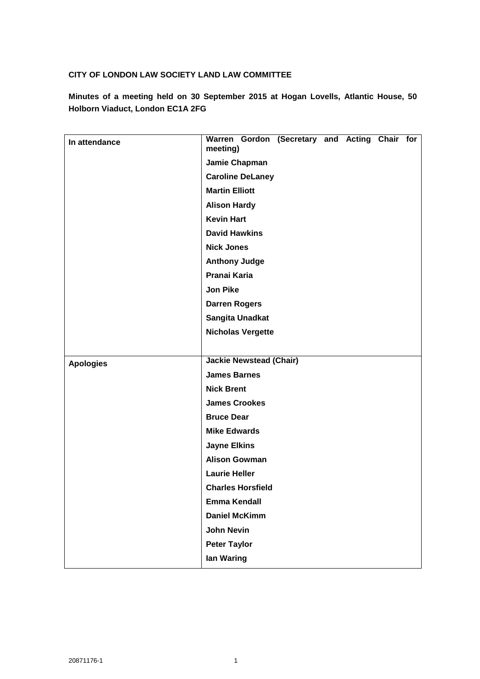# **CITY OF LONDON LAW SOCIETY LAND LAW COMMITTEE**

**Minutes of a meeting held on 30 September 2015 at Hogan Lovells, Atlantic House, 50 Holborn Viaduct, London EC1A 2FG**

| In attendance    | Warren Gordon (Secretary and Acting Chair for<br>meeting) |
|------------------|-----------------------------------------------------------|
|                  | Jamie Chapman                                             |
|                  | <b>Caroline DeLaney</b>                                   |
|                  | <b>Martin Elliott</b>                                     |
|                  | <b>Alison Hardy</b>                                       |
|                  | <b>Kevin Hart</b>                                         |
|                  | <b>David Hawkins</b>                                      |
|                  | <b>Nick Jones</b>                                         |
|                  | <b>Anthony Judge</b>                                      |
|                  | Pranai Karia                                              |
|                  | <b>Jon Pike</b>                                           |
|                  | <b>Darren Rogers</b>                                      |
|                  | <b>Sangita Unadkat</b>                                    |
|                  | <b>Nicholas Vergette</b>                                  |
|                  |                                                           |
| <b>Apologies</b> | <b>Jackie Newstead (Chair)</b>                            |
|                  | <b>James Barnes</b>                                       |
|                  | <b>Nick Brent</b>                                         |
|                  | <b>James Crookes</b>                                      |
|                  | <b>Bruce Dear</b>                                         |
|                  | <b>Mike Edwards</b>                                       |
|                  | <b>Jayne Elkins</b>                                       |
|                  | <b>Alison Gowman</b>                                      |
|                  | <b>Laurie Heller</b>                                      |
|                  | <b>Charles Horsfield</b>                                  |
|                  | <b>Emma Kendall</b>                                       |
|                  | <b>Daniel McKimm</b>                                      |
|                  | <b>John Nevin</b>                                         |
|                  | <b>Peter Taylor</b>                                       |
|                  | lan Waring                                                |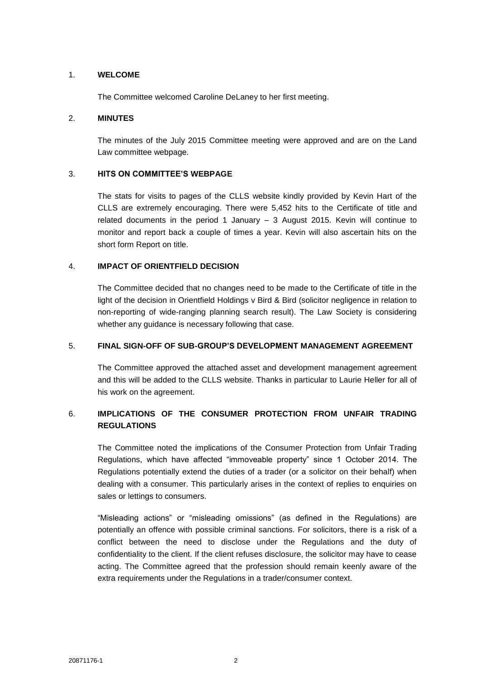### 1. **WELCOME**

The Committee welcomed Caroline DeLaney to her first meeting.

### 2. **MINUTES**

The minutes of the July 2015 Committee meeting were approved and are on the Land Law committee webpage.

# 3. **HITS ON COMMITTEE'S WEBPAGE**

The stats for visits to pages of the CLLS website kindly provided by Kevin Hart of the CLLS are extremely encouraging. There were 5,452 hits to the Certificate of title and related documents in the period 1 January – 3 August 2015. Kevin will continue to monitor and report back a couple of times a year. Kevin will also ascertain hits on the short form Report on title.

# 4. **IMPACT OF ORIENTFIELD DECISION**

The Committee decided that no changes need to be made to the Certificate of title in the light of the decision in Orientfield Holdings v Bird & Bird (solicitor negligence in relation to non-reporting of wide-ranging planning search result). The Law Society is considering whether any guidance is necessary following that case.

# 5. **FINAL SIGN-OFF OF SUB-GROUP'S DEVELOPMENT MANAGEMENT AGREEMENT**

The Committee approved the attached asset and development management agreement and this will be added to the CLLS website. Thanks in particular to Laurie Heller for all of his work on the agreement.

# 6. **IMPLICATIONS OF THE CONSUMER PROTECTION FROM UNFAIR TRADING REGULATIONS**

The Committee noted the implications of the Consumer Protection from Unfair Trading Regulations, which have affected "immoveable property" since 1 October 2014. The Regulations potentially extend the duties of a trader (or a solicitor on their behalf) when dealing with a consumer. This particularly arises in the context of replies to enquiries on sales or lettings to consumers.

"Misleading actions" or "misleading omissions" (as defined in the Regulations) are potentially an offence with possible criminal sanctions. For solicitors, there is a risk of a conflict between the need to disclose under the Regulations and the duty of confidentiality to the client. If the client refuses disclosure, the solicitor may have to cease acting. The Committee agreed that the profession should remain keenly aware of the extra requirements under the Regulations in a trader/consumer context.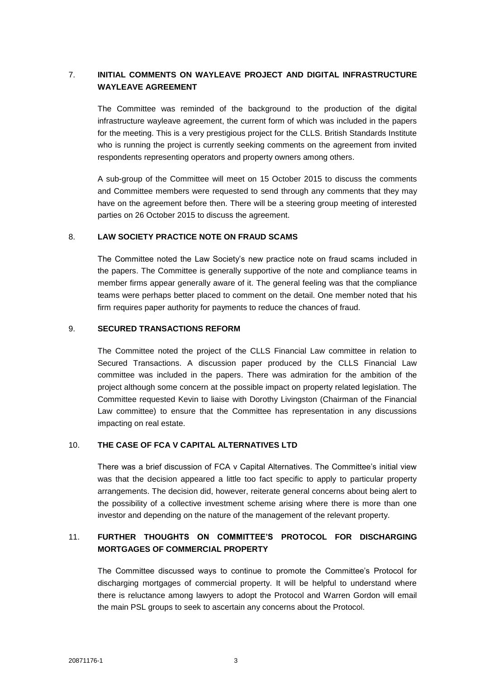# 7. **INITIAL COMMENTS ON WAYLEAVE PROJECT AND DIGITAL INFRASTRUCTURE WAYLEAVE AGREEMENT**

The Committee was reminded of the background to the production of the digital infrastructure wayleave agreement, the current form of which was included in the papers for the meeting. This is a very prestigious project for the CLLS. British Standards Institute who is running the project is currently seeking comments on the agreement from invited respondents representing operators and property owners among others.

A sub-group of the Committee will meet on 15 October 2015 to discuss the comments and Committee members were requested to send through any comments that they may have on the agreement before then. There will be a steering group meeting of interested parties on 26 October 2015 to discuss the agreement.

#### 8. **LAW SOCIETY PRACTICE NOTE ON FRAUD SCAMS**

The Committee noted the Law Society's new practice note on fraud scams included in the papers. The Committee is generally supportive of the note and compliance teams in member firms appear generally aware of it. The general feeling was that the compliance teams were perhaps better placed to comment on the detail. One member noted that his firm requires paper authority for payments to reduce the chances of fraud.

#### 9. **SECURED TRANSACTIONS REFORM**

The Committee noted the project of the CLLS Financial Law committee in relation to Secured Transactions. A discussion paper produced by the CLLS Financial Law committee was included in the papers. There was admiration for the ambition of the project although some concern at the possible impact on property related legislation. The Committee requested Kevin to liaise with Dorothy Livingston (Chairman of the Financial Law committee) to ensure that the Committee has representation in any discussions impacting on real estate.

### 10. **THE CASE OF FCA V CAPITAL ALTERNATIVES LTD**

There was a brief discussion of FCA v Capital Alternatives. The Committee's initial view was that the decision appeared a little too fact specific to apply to particular property arrangements. The decision did, however, reiterate general concerns about being alert to the possibility of a collective investment scheme arising where there is more than one investor and depending on the nature of the management of the relevant property.

# 11. **FURTHER THOUGHTS ON COMMITTEE'S PROTOCOL FOR DISCHARGING MORTGAGES OF COMMERCIAL PROPERTY**

The Committee discussed ways to continue to promote the Committee's Protocol for discharging mortgages of commercial property. It will be helpful to understand where there is reluctance among lawyers to adopt the Protocol and Warren Gordon will email the main PSL groups to seek to ascertain any concerns about the Protocol.